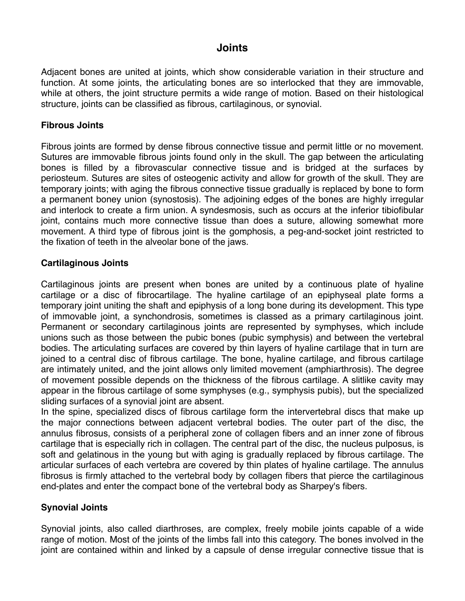# **Joints**

Adjacent bones are united at joints, which show considerable variation in their structure and function. At some joints, the articulating bones are so interlocked that they are immovable, while at others, the joint structure permits a wide range of motion. Based on their histological structure, joints can be classified as fibrous, cartilaginous, or synovial.

## **Fibrous Joints**

Fibrous joints are formed by dense fibrous connective tissue and permit little or no movement. Sutures are immovable fibrous joints found only in the skull. The gap between the articulating bones is filled by a fibrovascular connective tissue and is bridged at the surfaces by periosteum. Sutures are sites of osteogenic activity and allow for growth of the skull. They are temporary joints; with aging the fibrous connective tissue gradually is replaced by bone to form a permanent boney union (synostosis). The adjoining edges of the bones are highly irregular and interlock to create a firm union. A syndesmosis, such as occurs at the inferior tibiofibular joint, contains much more connective tissue than does a suture, allowing somewhat more movement. A third type of fibrous joint is the gomphosis, a peg-and-socket joint restricted to the fixation of teeth in the alveolar bone of the jaws.

## **Cartilaginous Joints**

Cartilaginous joints are present when bones are united by a continuous plate of hyaline cartilage or a disc of fibrocartilage. The hyaline cartilage of an epiphyseal plate forms a temporary joint uniting the shaft and epiphysis of a long bone during its development. This type of immovable joint, a synchondrosis, sometimes is classed as a primary cartilaginous joint. Permanent or secondary cartilaginous joints are represented by symphyses, which include unions such as those between the pubic bones (pubic symphysis) and between the vertebral bodies. The articulating surfaces are covered by thin layers of hyaline cartilage that in turn are joined to a central disc of fibrous cartilage. The bone, hyaline cartilage, and fibrous cartilage are intimately united, and the joint allows only limited movement (amphiarthrosis). The degree of movement possible depends on the thickness of the fibrous cartilage. A slitlike cavity may appear in the fibrous cartilage of some symphyses (e.g., symphysis pubis), but the specialized sliding surfaces of a synovial joint are absent.

In the spine, specialized discs of fibrous cartilage form the intervertebral discs that make up the major connections between adjacent vertebral bodies. The outer part of the disc, the annulus fibrosus, consists of a peripheral zone of collagen fibers and an inner zone of fibrous cartilage that is especially rich in collagen. The central part of the disc, the nucleus pulposus, is soft and gelatinous in the young but with aging is gradually replaced by fibrous cartilage. The articular surfaces of each vertebra are covered by thin plates of hyaline cartilage. The annulus fibrosus is firmly attached to the vertebral body by collagen fibers that pierce the cartilaginous end-plates and enter the compact bone of the vertebral body as Sharpey's fibers.

#### **Synovial Joints**

Synovial joints, also called diarthroses, are complex, freely mobile joints capable of a wide range of motion. Most of the joints of the limbs fall into this category. The bones involved in the joint are contained within and linked by a capsule of dense irregular connective tissue that is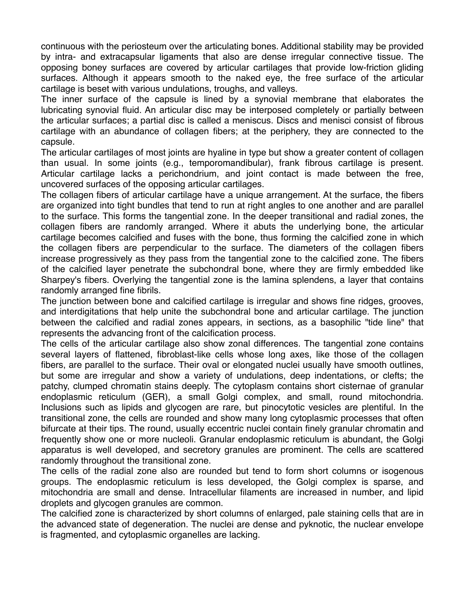continuous with the periosteum over the articulating bones. Additional stability may be provided by intra- and extracapsular ligaments that also are dense irregular connective tissue. The opposing boney surfaces are covered by articular cartilages that provide low-friction gliding surfaces. Although it appears smooth to the naked eye, the free surface of the articular cartilage is beset with various undulations, troughs, and valleys.

The inner surface of the capsule is lined by a synovial membrane that elaborates the lubricating synovial fluid. An articular disc may be interposed completely or partially between the articular surfaces; a partial disc is called a meniscus. Discs and menisci consist of fibrous cartilage with an abundance of collagen fibers; at the periphery, they are connected to the capsule.

The articular cartilages of most joints are hyaline in type but show a greater content of collagen than usual. In some joints (e.g., temporomandibular), frank fibrous cartilage is present. Articular cartilage lacks a perichondrium, and joint contact is made between the free, uncovered surfaces of the opposing articular cartilages.

The collagen fibers of articular cartilage have a unique arrangement. At the surface, the fibers are organized into tight bundles that tend to run at right angles to one another and are parallel to the surface. This forms the tangential zone. In the deeper transitional and radial zones, the collagen fibers are randomly arranged. Where it abuts the underlying bone, the articular cartilage becomes calcified and fuses with the bone, thus forming the calcified zone in which the collagen fibers are perpendicular to the surface. The diameters of the collagen fibers increase progressively as they pass from the tangential zone to the calcified zone. The fibers of the calcified layer penetrate the subchondral bone, where they are firmly embedded like Sharpey's fibers. Overlying the tangential zone is the lamina splendens, a layer that contains randomly arranged fine fibrils.

The junction between bone and calcified cartilage is irregular and shows fine ridges, grooves, and interdigitations that help unite the subchondral bone and articular cartilage. The junction between the calcified and radial zones appears, in sections, as a basophilic "tide line" that represents the advancing front of the calcification process.

The cells of the articular cartilage also show zonal differences. The tangential zone contains several layers of flattened, fibroblast-like cells whose long axes, like those of the collagen fibers, are parallel to the surface. Their oval or elongated nuclei usually have smooth outlines, but some are irregular and show a variety of undulations, deep indentations, or clefts; the patchy, clumped chromatin stains deeply. The cytoplasm contains short cisternae of granular endoplasmic reticulum (GER), a small Golgi complex, and small, round mitochondria. Inclusions such as lipids and glycogen are rare, but pinocytotic vesicles are plentiful. In the transitional zone, the cells are rounded and show many long cytoplasmic processes that often bifurcate at their tips. The round, usually eccentric nuclei contain finely granular chromatin and frequently show one or more nucleoli. Granular endoplasmic reticulum is abundant, the Golgi apparatus is well developed, and secretory granules are prominent. The cells are scattered randomly throughout the transitional zone.

The cells of the radial zone also are rounded but tend to form short columns or isogenous groups. The endoplasmic reticulum is less developed, the Golgi complex is sparse, and mitochondria are small and dense. Intracellular filaments are increased in number, and lipid droplets and glycogen granules are common.

The calcified zone is characterized by short columns of enlarged, pale staining cells that are in the advanced state of degeneration. The nuclei are dense and pyknotic, the nuclear envelope is fragmented, and cytoplasmic organelles are lacking.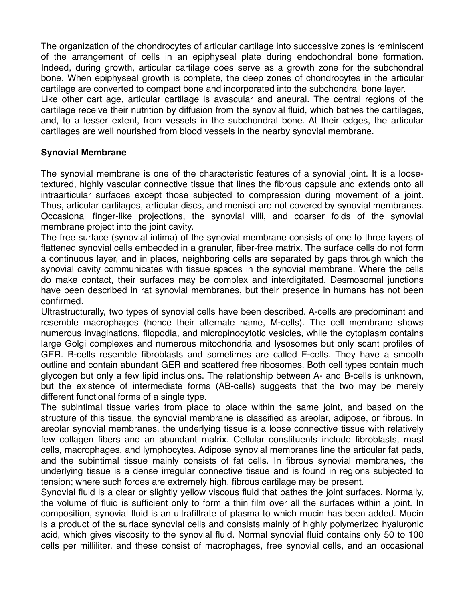The organization of the chondrocytes of articular cartilage into successive zones is reminiscent of the arrangement of cells in an epiphyseal plate during endochondral bone formation. Indeed, during growth, articular cartilage does serve as a growth zone for the subchondral bone. When epiphyseal growth is complete, the deep zones of chondrocytes in the articular cartilage are converted to compact bone and incorporated into the subchondral bone layer. Like other cartilage, articular cartilage is avascular and aneural. The central regions of the cartilage receive their nutrition by diffusion from the synovial fluid, which bathes the cartilages, and, to a lesser extent, from vessels in the subchondral bone. At their edges, the articular cartilages are well nourished from blood vessels in the nearby synovial membrane.

#### **Synovial Membrane**

The synovial membrane is one of the characteristic features of a synovial joint. It is a loosetextured, highly vascular connective tissue that lines the fibrous capsule and extends onto all intraarticular surfaces except those subjected to compression during movement of a joint. Thus, articular cartilages, articular discs, and menisci are not covered by synovial membranes. Occasional finger-like projections, the synovial villi, and coarser folds of the synovial membrane project into the joint cavity.

The free surface (synovial intima) of the synovial membrane consists of one to three layers of flattened synovial cells embedded in a granular, fiber-free matrix. The surface cells do not form a continuous layer, and in places, neighboring cells are separated by gaps through which the synovial cavity communicates with tissue spaces in the synovial membrane. Where the cells do make contact, their surfaces may be complex and interdigitated. Desmosomal junctions have been described in rat synovial membranes, but their presence in humans has not been confirmed.

Ultrastructurally, two types of synovial cells have been described. A-cells are predominant and resemble macrophages (hence their alternate name, M-cells). The cell membrane shows numerous invaginations, filopodia, and micropinocytotic vesicles, while the cytoplasm contains large Golgi complexes and numerous mitochondria and lysosomes but only scant profiles of GER. B-cells resemble fibroblasts and sometimes are called F-cells. They have a smooth outline and contain abundant GER and scattered free ribosomes. Both cell types contain much glycogen but only a few lipid inclusions. The relationship between A- and B-cells is unknown, but the existence of intermediate forms (AB-cells) suggests that the two may be merely different functional forms of a single type.

The subintimal tissue varies from place to place within the same joint, and based on the structure of this tissue, the synovial membrane is classified as areolar, adipose, or fibrous. In areolar synovial membranes, the underlying tissue is a loose connective tissue with relatively few collagen fibers and an abundant matrix. Cellular constituents include fibroblasts, mast cells, macrophages, and lymphocytes. Adipose synovial membranes line the articular fat pads, and the subintimal tissue mainly consists of fat cells. In fibrous synovial membranes, the underlying tissue is a dense irregular connective tissue and is found in regions subjected to tension; where such forces are extremely high, fibrous cartilage may be present.

Synovial fluid is a clear or slightly yellow viscous fluid that bathes the joint surfaces. Normally, the volume of fluid is sufficient only to form a thin film over all the surfaces within a joint. In composition, synovial fluid is an ultrafiltrate of plasma to which mucin has been added. Mucin is a product of the surface synovial cells and consists mainly of highly polymerized hyaluronic acid, which gives viscosity to the synovial fluid. Normal synovial fluid contains only 50 to 100 cells per milliliter, and these consist of macrophages, free synovial cells, and an occasional